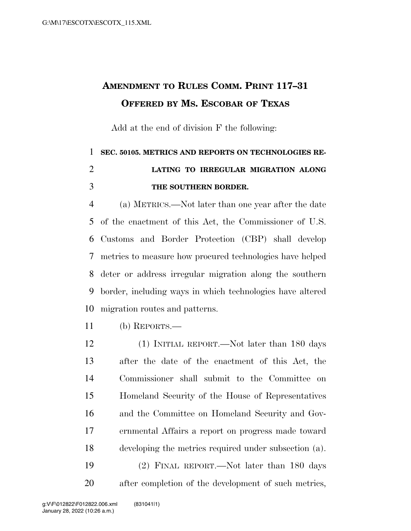## **AMENDMENT TO RULES COMM. PRINT 117–31 OFFERED BY MS. ESCOBAR OF TEXAS**

Add at the end of division F the following:

## **SEC. 50105. METRICS AND REPORTS ON TECHNOLOGIES RE- LATING TO IRREGULAR MIGRATION ALONG THE SOUTHERN BORDER.**

 (a) METRICS.—Not later than one year after the date of the enactment of this Act, the Commissioner of U.S. Customs and Border Protection (CBP) shall develop metrics to measure how procured technologies have helped deter or address irregular migration along the southern border, including ways in which technologies have altered migration routes and patterns.

- (b) REPORTS.—
- (1) INITIAL REPORT.—Not later than 180 days after the date of the enactment of this Act, the Commissioner shall submit to the Committee on Homeland Security of the House of Representatives and the Committee on Homeland Security and Gov- ernmental Affairs a report on progress made toward developing the metrics required under subsection (a). (2) FINAL REPORT.—Not later than 180 days after completion of the development of such metrics,